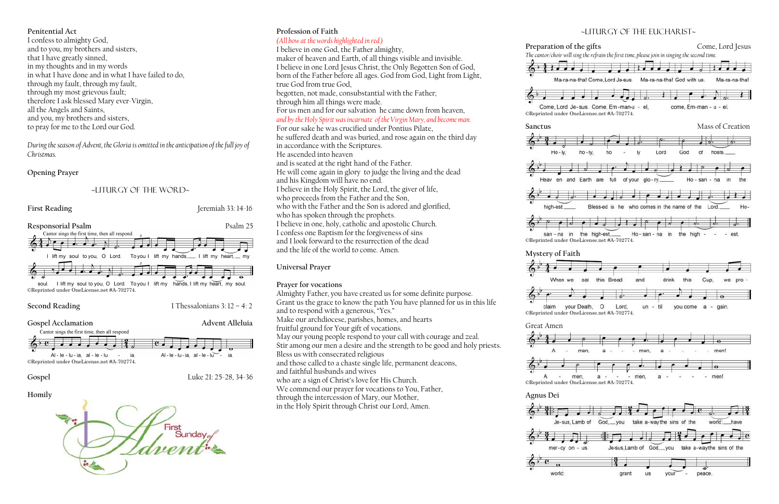### **Penitential Act**

I confess to almighty God, and to you, my brothers and sisters, that I have greatly sinned, in my thoughts and in my words in what I have done and in what I have failed to do, through my fault, through my fault, through my most grievous fault; therefore I ask blessed Mary ever-Virgin, all the Angels and Saints, and you, my brothers and sisters, to pray for me to the Lord our God.

*During the season of Advent, the Gloria is omitted in the anticipation of the full joy of Christmas.*

### **Opening Prayer**

### ~liturgy of the word~



Second Reading **I** Thessalonians 3: 12 – 4: 2







## **Profession of Faith**

*(All bow at the words highlighted in red.)* I believe in one God, the Father almighty, maker of heaven and Earth, of all things visible and invisible. I believe in one Lord Jesus Christ, the Only Begotten Son of God, born of the Father before all ages. God from God, Light from Light, true God from true God, begotten, not made, consubstantial with the Father; through him all things were made. For us men and for our salvation he came down from heaven, *and by the Holy Spirit was incarnate of the Virgin Mary, and become man.*  For our sake he was crucified under Pontius Pilate, he suffered death and was buried, and rose again on the third day in accordance with the Scriptures. He ascended into heaven and is seated at the right hand of the Father. He will come again in glory to judge the living and the dead and his Kingdom will have no end. I believe in the Holy Spirit, the Lord, the giver of life, who proceeds from the Father and the Son, who with the Father and the Son is adored and glorified, who has spoken through the prophets. I believe in one, holy, catholic and apostolic Church. I confess one Baptism for the forgiveness of sins

and I look forward to the resurrection of the dead and the life of the world to come. Amen.

### **Universal Prayer**

### **Prayer for vocations**

Almighty Father, you have created us for some definite purpose. Grant us the grace to know the path You have planned for us in this life and to respond with a generous, "Yes." Make our archdiocese, parishes, homes, and hearts fruitful ground for Your gift of vocations. May our young people respond to your call with courage and zeal. Stir among our men a desire and the strength to be good and holy priests. Bless us with consecrated religious and those called to a chaste single life, permanent deacons, and faithful husbands and wives who are a sign of Christ's love for His Church. We commend our prayer for vocations to You, Father, through the intercession of Mary, our Mother, in the Holy Spirit through Christ our Lord, Amen.

















### ~Liturgy of the Eucharist~